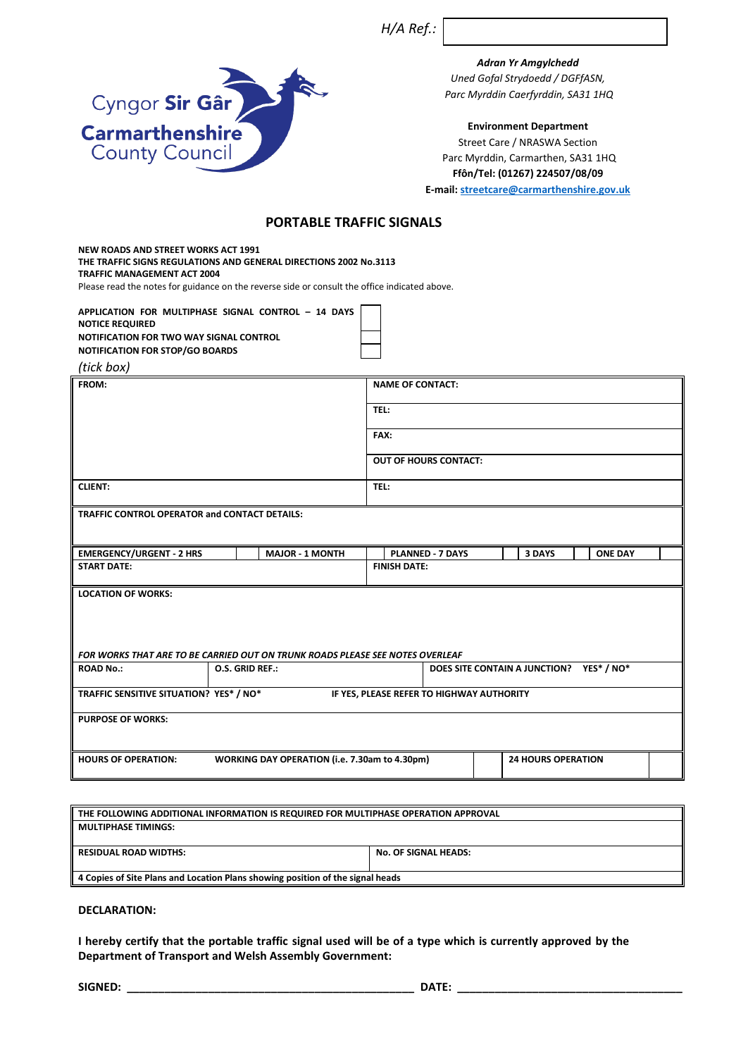*H/A Ref.:*

*Adran Yr Amgylchedd Uned Gofal Strydoedd / DGFfASN, Parc Myrddin Caerfyrddin, SA31 1HQ*

#### **Environment Department**

Street Care / NRASWA Section Parc Myrddin, Carmarthen, SA31 1HQ **Ffôn/Tel: (01267) 224507/08/09 E-mail:<streetcare@carmarthenshire.gov.uk>**

# **PORTABLE TRAFFIC SIGNALS**

**NEW ROADS AND STREET WORKS ACT 1991 THE TRAFFIC SIGNS REGULATIONS AND GENERAL DIRECTIONS 2002 No.3113 TRAFFIC MANAGEMENT ACT 2004** Please read the notes for guidance on the reverse side or consult the office indicated above.

**APPLICATION FOR MULTIPHASE SIGNAL CONTROL – 14 DAYS NOTICE REQUIRED NOTIFICATION FOR TWO WAY SIGNAL CONTROL NOTIFICATION FOR STOP/GO BOARDS**

Cyngor Sir Gâr

**Carmarthenshire County Council** 

*(tick box)*

| FROM:                                                                                                      |                        | <b>NAME OF CONTACT:</b>      |                                          |  |
|------------------------------------------------------------------------------------------------------------|------------------------|------------------------------|------------------------------------------|--|
|                                                                                                            |                        | TEL:                         |                                          |  |
|                                                                                                            |                        | FAX:                         |                                          |  |
|                                                                                                            |                        | <b>OUT OF HOURS CONTACT:</b> |                                          |  |
| <b>CLIENT:</b>                                                                                             |                        | TEL:                         |                                          |  |
| <b>TRAFFIC CONTROL OPERATOR and CONTACT DETAILS:</b>                                                       |                        |                              |                                          |  |
| <b>EMERGENCY/URGENT - 2 HRS</b>                                                                            | <b>MAJOR - 1 MONTH</b> | <b>PLANNED - 7 DAYS</b>      | <b>ONE DAY</b><br>3 DAYS                 |  |
| <b>START DATE:</b>                                                                                         |                        | <b>FINISH DATE:</b>          |                                          |  |
| <b>LOCATION OF WORKS:</b><br>FOR WORKS THAT ARE TO BE CARRIED OUT ON TRUNK ROADS PLEASE SEE NOTES OVERLEAF |                        |                              |                                          |  |
| <b>ROAD No.:</b>                                                                                           | O.S. GRID REF.:        |                              | DOES SITE CONTAIN A JUNCTION? YES* / NO* |  |
|                                                                                                            |                        |                              |                                          |  |
| TRAFFIC SENSITIVE SITUATION? YES* / NO*<br>IF YES, PLEASE REFER TO HIGHWAY AUTHORITY                       |                        |                              |                                          |  |
| <b>PURPOSE OF WORKS:</b>                                                                                   |                        |                              |                                          |  |
| WORKING DAY OPERATION (i.e. 7.30am to 4.30pm)<br><b>HOURS OF OPERATION:</b>                                |                        |                              | <b>24 HOURS OPERATION</b>                |  |

| THE FOLLOWING ADDITIONAL INFORMATION IS REQUIRED FOR MULTIPHASE OPERATION APPROVAL |                             |  |  |
|------------------------------------------------------------------------------------|-----------------------------|--|--|
| <b>MULTIPHASE TIMINGS:</b>                                                         |                             |  |  |
|                                                                                    |                             |  |  |
| <b>RESIDUAL ROAD WIDTHS:</b>                                                       | <b>No. OF SIGNAL HEADS:</b> |  |  |
|                                                                                    |                             |  |  |
| 4 Copies of Site Plans and Location Plans showing position of the signal heads     |                             |  |  |

### **DECLARATION:**

**I hereby certify that the portable traffic signal used will be of a type which is currently approved by the Department of Transport and Welsh Assembly Government:** 

**SIGNED: \_\_\_\_\_\_\_\_\_\_\_\_\_\_\_\_\_\_\_\_\_\_\_\_\_\_\_\_\_\_\_\_\_\_\_\_\_\_\_\_\_\_\_\_\_\_ DATE: \_\_\_\_\_\_\_\_\_\_\_\_\_\_\_\_\_\_\_\_\_\_\_\_\_\_\_\_\_\_\_\_\_\_\_\_**